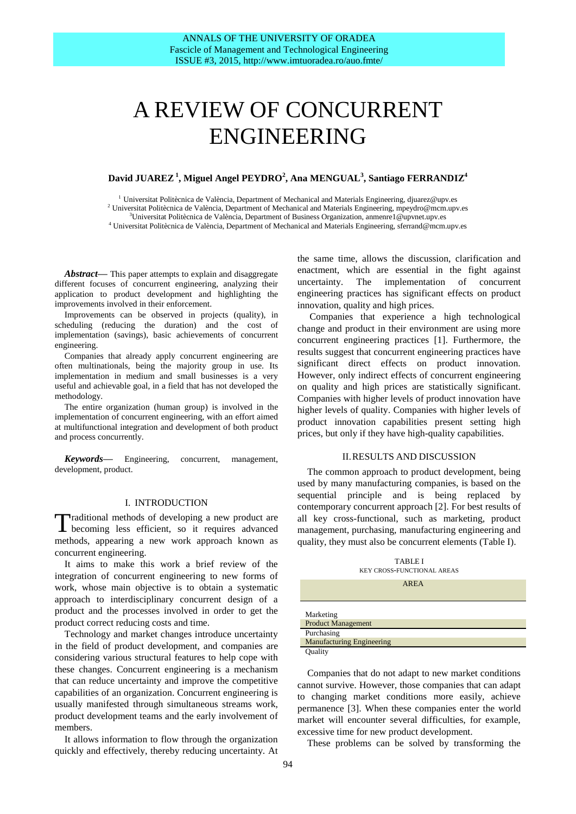# A REVIEW OF CONCURRENT ENGINEERING

# **David JUAREZ<sup>1</sup> , Miguel Angel PEYDRO<sup>2</sup> , Ana MENGUAL<sup>3</sup> , Santiago FERRANDIZ<sup>4</sup>**

 $^1$ Universitat Politècnica de València, Department of Mechanical and Materials Engineering, djuarez@upv.es  $2$  Universitat Politècnica de València, Department of Mechanical and Materials Engineering, mpeydro@mcm.upv.es <sup>3</sup>Universitat Politècnica de València, Department of Business Organization, anmenre1@upvnet.upv.es

<sup>4</sup> Universitat Politècnica de València, Department of Mechanical and Materials Engineering, sferrand@mcm.upv.es

Abstract— This paper attempts to explain and disaggregate different focuses of concurrent engineering, analyzing their application to product development and highlighting the improvements involved in their enforcement.

Improvements can be observed in projects (quality), in scheduling (reducing the duration) and the cost of implementation (savings), basic achievements of concurrent engineering.

Companies that already apply concurrent engineering are often multinationals, being the majority group in use. Its implementation in medium and small businesses is a very useful and achievable goal, in a field that has not developed the methodology.

The entire organization (human group) is involved in the implementation of concurrent engineering, with an effort aimed at multifunctional integration and development of both product and process concurrently.

*Keywords***—** Engineering, concurrent, management, development, product.

## I. INTRODUCTION

raditional methods of developing a new product are Traditional methods of developing a new product are<br>becoming less efficient, so it requires advanced methods, appearing a new work approach known as concurrent engineering.

It aims to make this work a brief review of the integration of concurrent engineering to new forms of work, whose main objective is to obtain a systematic approach to interdisciplinary concurrent design of a product and the processes involved in order to get the product correct reducing costs and time.

Technology and market changes introduce uncertainty in the field of product development, and companies are considering various structural features to help cope with these changes. Concurrent engineering is a mechanism that can reduce uncertainty and improve the competitive capabilities of an organization. Concurrent engineering is usually manifested through simultaneous streams work, product development teams and the early involvement of members.

It allows information to flow through the organization quickly and effectively, thereby reducing uncertainty. At the same time, allows the discussion, clarification and enactment, which are essential in the fight against uncertainty. The implementation of concurrent engineering practices has significant effects on product innovation, quality and high prices.

Companies that experience a high technological change and product in their environment are using more concurrent engineering practices [1]. Furthermore, the results suggest that concurrent engineering practices have significant direct effects on product innovation. However, only indirect effects of concurrent engineering on quality and high prices are statistically significant. Companies with higher levels of product innovation have higher levels of quality. Companies with higher levels of product innovation capabilities present setting high prices, but only if they have high-quality capabilities.

#### II.RESULTS AND DISCUSSION

The common approach to product development, being used by many manufacturing companies, is based on the sequential principle and is being replaced by contemporary concurrent approach [2]. For best results of all key cross-functional, such as marketing, product management, purchasing, manufacturing engineering and quality, they must also be concurrent elements (Table I).

TABLE I KEY CROSS-FUNCTIONAL AREAS

AREA

| Marketing                        |  |
|----------------------------------|--|
| <b>Product Management</b>        |  |
|                                  |  |
| Purchasing                       |  |
| <b>Manufacturing Engineering</b> |  |

Companies that do not adapt to new market conditions cannot survive. However, those companies that can adapt to changing market conditions more easily, achieve permanence [3]. When these companies enter the world market will encounter several difficulties, for example, excessive time for new product development.

These problems can be solved by transforming the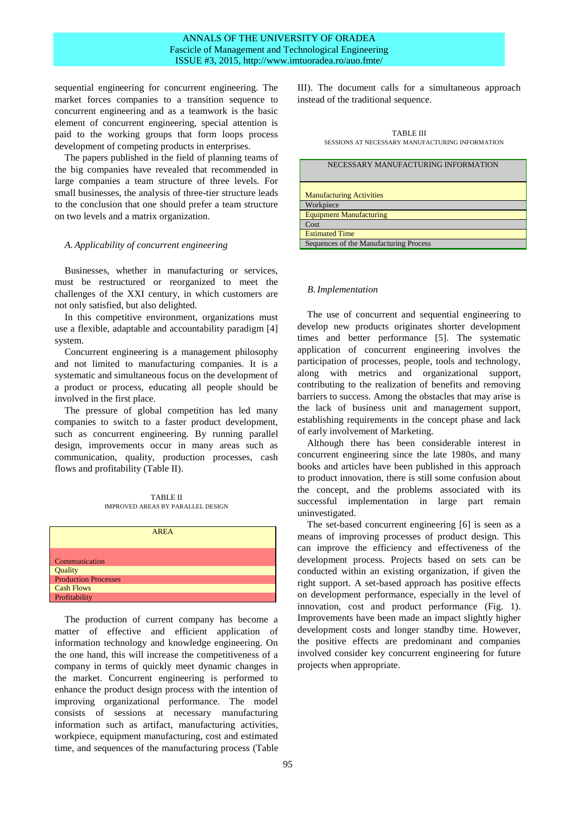## ANNALS OF THE UNIVERSITY OF ORADEA Fascicle of Management and Technological Engineering ISSUE #3, 2015, http://www.imtuoradea.ro/auo.fmte/

sequential engineering for concurrent engineering. The market forces companies to a transition sequence to concurrent engineering and as a teamwork is the basic element of concurrent engineering, special attention is paid to the working groups that form loops process development of competing products in enterprises.

The papers published in the field of planning teams of the big companies have revealed that recommended in large companies a team structure of three levels. For small businesses, the analysis of three-tier structure leads to the conclusion that one should prefer a team structure on two levels and a matrix organization.

### *A. Applicability of concurrent engineering*

Businesses, whether in manufacturing or services, must be restructured or reorganized to meet the challenges of the XXI century, in which customers are not only satisfied, but also delighted.

In this competitive environment, organizations must use a flexible, adaptable and accountability paradigm [4] system.

Concurrent engineering is a management philosophy and not limited to manufacturing companies. It is a systematic and simultaneous focus on the development of a product or process, educating all people should be involved in the first place.

The pressure of global competition has led many companies to switch to a faster product development, such as concurrent engineering. By running parallel design, improvements occur in many areas such as communication, quality, production processes, cash flows and profitability (Table II).

TABLE II IMPROVED AREAS BY PARALLEL DESIGN

|                             | <b>AREA</b> |
|-----------------------------|-------------|
| Communication               |             |
| Quality                     |             |
| <b>Production Processes</b> |             |
| <b>Cash Flows</b>           |             |
| Profitability               |             |

The production of current company has become a matter of effective and efficient application of information technology and knowledge engineering. On the one hand, this will increase the competitiveness of a company in terms of quickly meet dynamic changes in the market. Concurrent engineering is performed to enhance the product design process with the intention of improving organizational performance. The model consists of sessions at necessary manufacturing information such as artifact, manufacturing activities, workpiece, equipment manufacturing, cost and estimated time, and sequences of the manufacturing process (Table

III). The document calls for a simultaneous approach instead of the traditional sequence.

TABLE III SESSIONS AT NECESSARY MANUFACTURING INFORMATION

| NECESSARY MANUFACTURING INFORMATION    |
|----------------------------------------|
| <b>Manufacturing Activities</b>        |
| Workpiece                              |
| <b>Equipment Manufacturing</b>         |
| Cost                                   |
| <b>Estimated Time</b>                  |
| Sequences of the Manufacturing Process |

### *B.Implementation*

The use of concurrent and sequential engineering to develop new products originates shorter development times and better performance [5]. The systematic application of concurrent engineering involves the participation of processes, people, tools and technology, along with metrics and organizational support, contributing to the realization of benefits and removing barriers to success. Among the obstacles that may arise is the lack of business unit and management support, establishing requirements in the concept phase and lack of early involvement of Marketing.

Although there has been considerable interest in concurrent engineering since the late 1980s, and many books and articles have been published in this approach to product innovation, there is still some confusion about the concept, and the problems associated with its successful implementation in large part remain uninvestigated.

The set-based concurrent engineering [6] is seen as a means of improving processes of product design. This can improve the efficiency and effectiveness of the development process. Projects based on sets can be conducted within an existing organization, if given the right support. A set-based approach has positive effects on development performance, especially in the level of innovation, cost and product performance (Fig. 1). Improvements have been made an impact slightly higher development costs and longer standby time. However, the positive effects are predominant and companies involved consider key concurrent engineering for future projects when appropriate.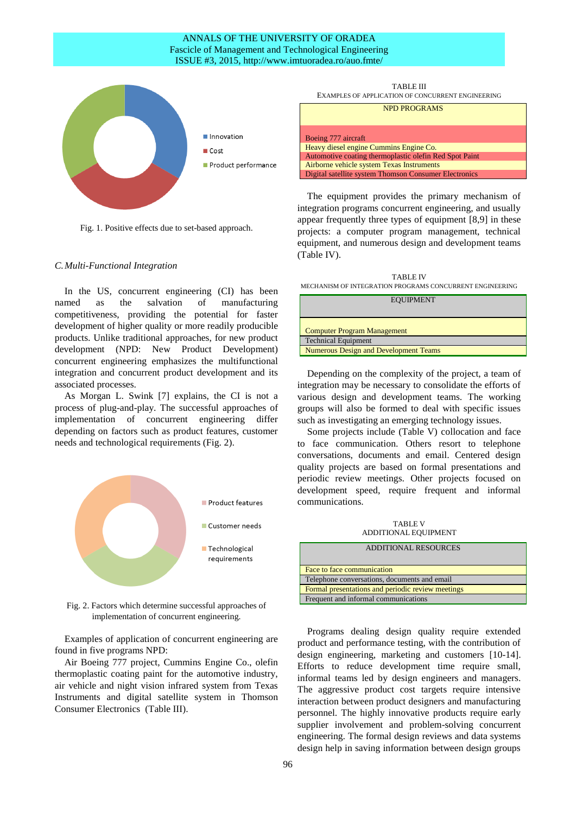## ANNALS OF THE UNIVERSITY OF ORADEA Fascicle of Management and Technological Engineering ISSUE #3, 2015, http://www.imtuoradea.ro/auo.fmte/



Fig. 1. Positive effects due to set-based approach.

#### *C.Multi-Functional Integration*

In the US, concurrent engineering (CI) has been named as the salvation of manufacturing competitiveness, providing the potential for faster development of higher quality or more readily producible products. Unlike traditional approaches, for new product development (NPD: New Product Development) concurrent engineering emphasizes the multifunctional integration and concurrent product development and its associated processes.

As Morgan L. Swink [7] explains, the CI is not a process of plug-and-play. The successful approaches of implementation of concurrent engineering differ depending on factors such as product features, customer needs and technological requirements (Fig. 2).



Fig. 2. Factors which determine successful approaches of implementation of concurrent engineering.

Examples of application of concurrent engineering are found in five programs NPD:

Air Boeing 777 project, Cummins Engine Co., olefin thermoplastic coating paint for the automotive industry, air vehicle and night vision infrared system from Texas Instruments and digital satellite system in Thomson Consumer Electronics (Table III).

TABLE III EXAMPLES OF APPLICATION OF CONCURRENT ENGINEERING NPD PROGRAMS Boeing 777 aircraft Heavy diesel engine Cummins Engine Co. Automotive coating thermoplastic olefin Red Spot Paint Airborne vehicle system Texas Instruments Digital satellite system Thomson Consumer Electronics

The equipment provides the primary mechanism of integration programs concurrent engineering, and usually appear frequently three types of equipment [8,9] in these projects: a computer program management, technical equipment, and numerous design and development teams (Table IV).

TABLE IV MECHANISM OF INTEGRATION PROGRAMS CONCURRENT ENGINEERING

| <b>EQUIPMENT</b>                             |
|----------------------------------------------|
| <b>Computer Program Management</b>           |
| <b>Technical Equipment</b>                   |
| <b>Numerous Design and Development Teams</b> |

Depending on the complexity of the project, a team of integration may be necessary to consolidate the efforts of various design and development teams. The working groups will also be formed to deal with specific issues such as investigating an emerging technology issues.

Some projects include (Table V) collocation and face to face communication. Others resort to telephone conversations, documents and email. Centered design quality projects are based on formal presentations and periodic review meetings. Other projects focused on development speed, require frequent and informal communications.

TABLE V ADDITIONAL EQUIPMENT

| <b>ADDITIONAL RESOURCES</b>                       |
|---------------------------------------------------|
| Face to face communication                        |
| Telephone conversations, documents and email      |
| Formal presentations and periodic review meetings |
| Frequent and informal communications              |

Programs dealing design quality require extended product and performance testing, with the contribution of design engineering, marketing and customers [10-14]. Efforts to reduce development time require small, informal teams led by design engineers and managers. The aggressive product cost targets require intensive interaction between product designers and manufacturing personnel. The highly innovative products require early supplier involvement and problem-solving concurrent engineering. The formal design reviews and data systems design help in saving information between design groups